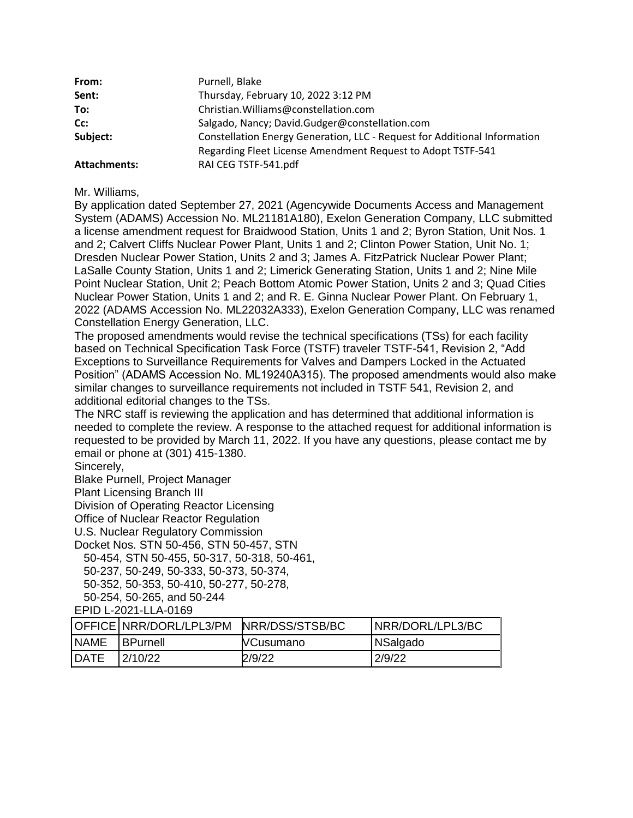| From:               | Purnell, Blake                                                            |  |
|---------------------|---------------------------------------------------------------------------|--|
| Sent:               | Thursday, February 10, 2022 3:12 PM                                       |  |
| To:                 | Christian. Williams@constellation.com                                     |  |
| Cc:                 | Salgado, Nancy; David.Gudger@constellation.com                            |  |
| Subject:            | Constellation Energy Generation, LLC - Request for Additional Information |  |
|                     | Regarding Fleet License Amendment Request to Adopt TSTF-541               |  |
| <b>Attachments:</b> | RAI CEG TSTF-541.pdf                                                      |  |

Mr. Williams,

By application dated September 27, 2021 (Agencywide Documents Access and Management System (ADAMS) Accession No. ML21181A180), Exelon Generation Company, LLC submitted a license amendment request for Braidwood Station, Units 1 and 2; Byron Station, Unit Nos. 1 and 2; Calvert Cliffs Nuclear Power Plant, Units 1 and 2; Clinton Power Station, Unit No. 1; Dresden Nuclear Power Station, Units 2 and 3; James A. FitzPatrick Nuclear Power Plant; LaSalle County Station, Units 1 and 2; Limerick Generating Station, Units 1 and 2; Nine Mile Point Nuclear Station, Unit 2; Peach Bottom Atomic Power Station, Units 2 and 3; Quad Cities Nuclear Power Station, Units 1 and 2; and R. E. Ginna Nuclear Power Plant. On February 1, 2022 (ADAMS Accession No. ML22032A333), Exelon Generation Company, LLC was renamed Constellation Energy Generation, LLC.

The proposed amendments would revise the technical specifications (TSs) for each facility based on Technical Specification Task Force (TSTF) traveler TSTF-541, Revision 2, "Add Exceptions to Surveillance Requirements for Valves and Dampers Locked in the Actuated Position" (ADAMS Accession No. ML19240A315). The proposed amendments would also make similar changes to surveillance requirements not included in TSTF 541, Revision 2, and additional editorial changes to the TSs.

The NRC staff is reviewing the application and has determined that additional information is needed to complete the review. A response to the attached request for additional information is requested to be provided by March 11, 2022. If you have any questions, please contact me by email or phone at (301) 415-1380.

Sincerely,

Blake Purnell, Project Manager

Plant Licensing Branch III

Division of Operating Reactor Licensing

Office of Nuclear Reactor Regulation

U.S. Nuclear Regulatory Commission

Docket Nos. STN 50-456, STN 50-457, STN

50-454, STN 50-455, 50-317, 50-318, 50-461,

50-237, 50-249, 50-333, 50-373, 50-374,

50-352, 50-353, 50-410, 50-277, 50-278,

50-254, 50-265, and 50-244

EPID L-2021-LLA-0169

|              | OFFICE NRR/DORL/LPL3/PM NRR/DSS/STSB/BC |                  | NRR/DORL/LPL3/BC |
|--------------|-----------------------------------------|------------------|------------------|
| <b>NAME</b>  | <b>IBPurnell</b>                        | <b>NCusumano</b> | NSalgado         |
| <b>IDATE</b> | 2/10/22                                 | 2/9/22           | 2/9/22           |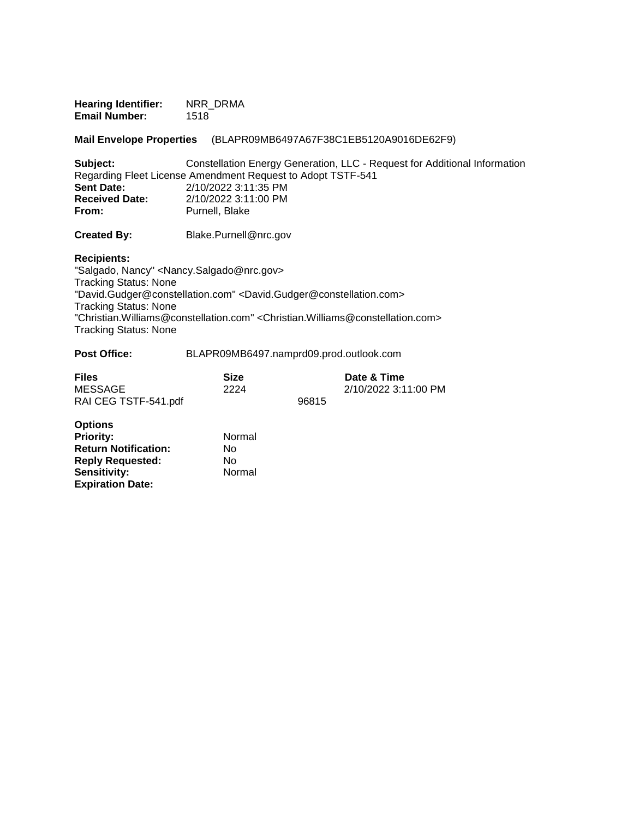| <b>Hearing Identifier:</b> | NRR DRMA |
|----------------------------|----------|
| <b>Email Number:</b>       | 1518     |

**Mail Envelope Properties** (BLAPR09MB6497A67F38C1EB5120A9016DE62F9)

| Subject:              | Constellation Energy Generation, LLC - Request for Additional Information |
|-----------------------|---------------------------------------------------------------------------|
|                       | Regarding Fleet License Amendment Request to Adopt TSTF-541               |
| <b>Sent Date:</b>     | 2/10/2022 3:11:35 PM                                                      |
| <b>Received Date:</b> | 2/10/2022 3:11:00 PM                                                      |
| From:                 | Purnell, Blake                                                            |

**Created By:** Blake.Purnell@nrc.gov

**Recipients:** 

"Salgado, Nancy" <Nancy.Salgado@nrc.gov> Tracking Status: None "David.Gudger@constellation.com" <David.Gudger@constellation.com> Tracking Status: None "Christian.Williams@constellation.com" <Christian.Williams@constellation.com> Tracking Status: None

| <b>Post Office:</b> | BLAPR09MB6497.namprd09.prod.outlook.com |  |
|---------------------|-----------------------------------------|--|
|---------------------|-----------------------------------------|--|

| <b>Files</b>         | Size |       | Date & Time          |
|----------------------|------|-------|----------------------|
| MESSAGE              | 2224 |       | 2/10/2022 3:11:00 PM |
| RAI CEG TSTF-541.pdf |      | 96815 |                      |

| <b>Options</b>              |        |
|-----------------------------|--------|
| <b>Priority:</b>            | Normal |
| <b>Return Notification:</b> | N٥     |
| <b>Reply Requested:</b>     | Nο     |
| Sensitivity:                | Normal |
| <b>Expiration Date:</b>     |        |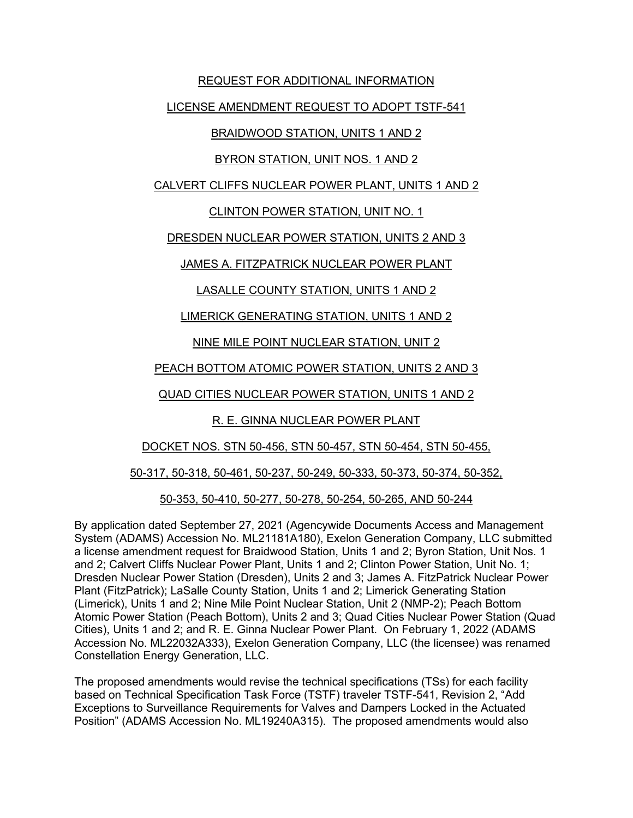### REQUEST FOR ADDITIONAL INFORMATION

### LICENSE AMENDMENT REQUEST TO ADOPT TSTF-541

## BRAIDWOOD STATION, UNITS 1 AND 2

## BYRON STATION, UNIT NOS. 1 AND 2

### CALVERT CLIFFS NUCLEAR POWER PLANT, UNITS 1 AND 2

## CLINTON POWER STATION, UNIT NO. 1

## DRESDEN NUCLEAR POWER STATION, UNITS 2 AND 3

# JAMES A. FITZPATRICK NUCLEAR POWER PLANT

# LASALLE COUNTY STATION, UNITS 1 AND 2

# LIMERICK GENERATING STATION, UNITS 1 AND 2

# NINE MILE POINT NUCLEAR STATION, UNIT 2

# PEACH BOTTOM ATOMIC POWER STATION, UNITS 2 AND 3

# QUAD CITIES NUCLEAR POWER STATION, UNITS 1 AND 2

# R. E. GINNA NUCLEAR POWER PLANT

## DOCKET NOS. STN 50-456, STN 50-457, STN 50-454, STN 50-455,

## 50-317, 50-318, 50-461, 50-237, 50-249, 50-333, 50-373, 50-374, 50-352,

## 50-353, 50-410, 50-277, 50-278, 50-254, 50-265, AND 50-244

By application dated September 27, 2021 (Agencywide Documents Access and Management System (ADAMS) Accession No. ML21181A180), Exelon Generation Company, LLC submitted a license amendment request for Braidwood Station, Units 1 and 2; Byron Station, Unit Nos. 1 and 2; Calvert Cliffs Nuclear Power Plant, Units 1 and 2; Clinton Power Station, Unit No. 1; Dresden Nuclear Power Station (Dresden), Units 2 and 3; James A. FitzPatrick Nuclear Power Plant (FitzPatrick); LaSalle County Station, Units 1 and 2; Limerick Generating Station (Limerick), Units 1 and 2; Nine Mile Point Nuclear Station, Unit 2 (NMP-2); Peach Bottom Atomic Power Station (Peach Bottom), Units 2 and 3; Quad Cities Nuclear Power Station (Quad Cities), Units 1 and 2; and R. E. Ginna Nuclear Power Plant. On February 1, 2022 (ADAMS Accession No. ML22032A333), Exelon Generation Company, LLC (the licensee) was renamed Constellation Energy Generation, LLC.

The proposed amendments would revise the technical specifications (TSs) for each facility based on Technical Specification Task Force (TSTF) traveler TSTF-541, Revision 2, "Add Exceptions to Surveillance Requirements for Valves and Dampers Locked in the Actuated Position" (ADAMS Accession No. ML19240A315). The proposed amendments would also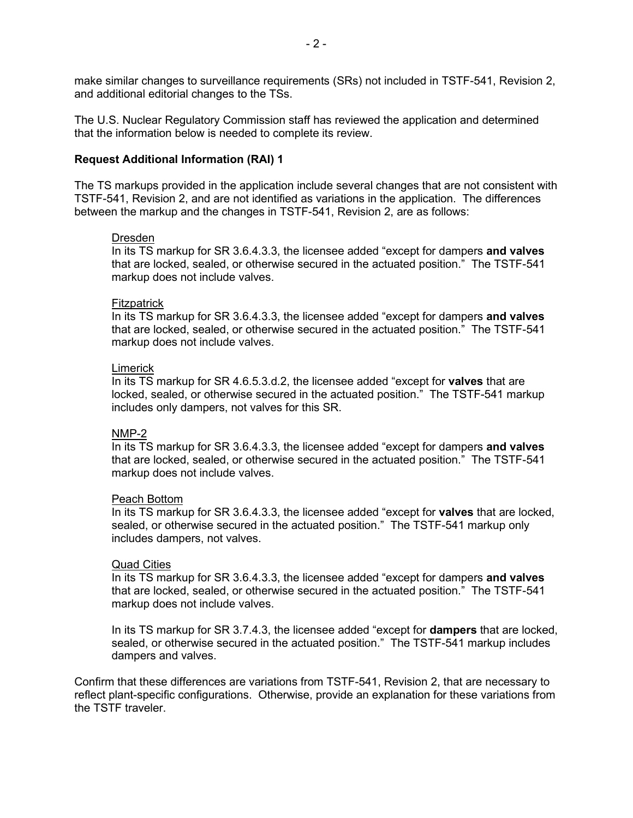make similar changes to surveillance requirements (SRs) not included in TSTF-541, Revision 2, and additional editorial changes to the TSs.

The U.S. Nuclear Regulatory Commission staff has reviewed the application and determined that the information below is needed to complete its review.

#### **Request Additional Information (RAI) 1**

The TS markups provided in the application include several changes that are not consistent with TSTF-541, Revision 2, and are not identified as variations in the application. The differences between the markup and the changes in TSTF-541, Revision 2, are as follows:

#### Dresden

In its TS markup for SR 3.6.4.3.3, the licensee added "except for dampers **and valves** that are locked, sealed, or otherwise secured in the actuated position." The TSTF-541 markup does not include valves.

#### **Fitzpatrick**

In its TS markup for SR 3.6.4.3.3, the licensee added "except for dampers **and valves** that are locked, sealed, or otherwise secured in the actuated position." The TSTF-541 markup does not include valves.

#### **Limerick**

In its TS markup for SR 4.6.5.3.d.2, the licensee added "except for **valves** that are locked, sealed, or otherwise secured in the actuated position." The TSTF-541 markup includes only dampers, not valves for this SR.

#### NMP-2

In its TS markup for SR 3.6.4.3.3, the licensee added "except for dampers **and valves** that are locked, sealed, or otherwise secured in the actuated position." The TSTF-541 markup does not include valves.

#### Peach Bottom

In its TS markup for SR 3.6.4.3.3, the licensee added "except for **valves** that are locked, sealed, or otherwise secured in the actuated position." The TSTF-541 markup only includes dampers, not valves.

#### Quad Cities

In its TS markup for SR 3.6.4.3.3, the licensee added "except for dampers **and valves** that are locked, sealed, or otherwise secured in the actuated position." The TSTF-541 markup does not include valves.

In its TS markup for SR 3.7.4.3, the licensee added "except for **dampers** that are locked, sealed, or otherwise secured in the actuated position." The TSTF-541 markup includes dampers and valves.

Confirm that these differences are variations from TSTF-541, Revision 2, that are necessary to reflect plant-specific configurations. Otherwise, provide an explanation for these variations from the TSTF traveler.